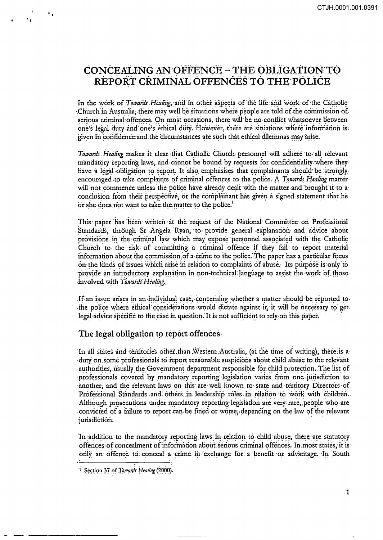# **CONCEALING AN OFFENCE - THE OBLIGATION TO :** REPORT CRIMINAL OFFENCES TO THE POLICE

In the work of Towards Healing, and in other aspects of the life and work of the Catholic Church in Australia, there may well be situations where people are told of the commission of serious criminal offences. On most occasions, there will be no conflict whatsoever between one's legal duty and one's ethical duty. However, there are situations where information is given in confidence and the circumstances are such that ethical dilemmas may arise.

Towards Healing makes it clear that Catholic Church personnel will adhere to all relevant mandatory reporting laws, and cannot be bound by requests for confidentiality where they have a legal obligation to report. It also emphasises that complainants should be strongly encouraged to take complaints of criminal offences to the police. A Towards Healing matter will not commence unless the police have already dealt with the matter and brought it to a conclusion from their perspective, or the complainant has given a signed statement that he or she does not want to take the matter to the police.<sup>1</sup>

This paper has been written at the request of the National Committee on Professional Standards, through Sr Angela Ryan, to provide general explanation and advice about provisions in the criminal law which may expose personnel associated with the Catholic Church to the risk of committing a criminal offence if they fail to report material information about the commission of a crime to the police. The paper has a particular focus on the kinds of issues which arise in relation to complaints of abuse. Its purpose is only to provide an introductory explanation in non-technical language to assist the work of those involved with Towards Healing.

If an issue arises in an individual case, concerning whether a matter should be reported to the police where ethical considerations would dictate against it, it will be necessary to get. legal advice specific to the case in question. It is not sufficient to rely on this paper.

# The legal obligation to report offences

 $\mathbf{e}_0$ 

In all states and territories other than Western Australia, (at the time of writing), there is a duty on some professionals to report reasonable suspicions about child abuse to the relevant authorities, usually the Government department responsible for child protection. The list of professionals covered by mandatory reporting legislation varies from one jurisdiction to another, and the relevant laws on this are well known to state and territory Directors of Professional Standards and others in leadership roles in relation to work with children. Although prosecutions under mandatory reporting legislation are very rare, people who are convicted of a failure to report can be fined or worse, depending on the law of the relevant jurisdiction.

In addition to the mandatory reporting laws in relation to child abuse, there are statutory offences of concealment of information about serious criminal offences. In most states, it is only an offence to conceal a crime in exchange for a benefit or advantage. In South

<sup>&</sup>lt;sup>1</sup> Section 37 of Towards Healing (2000).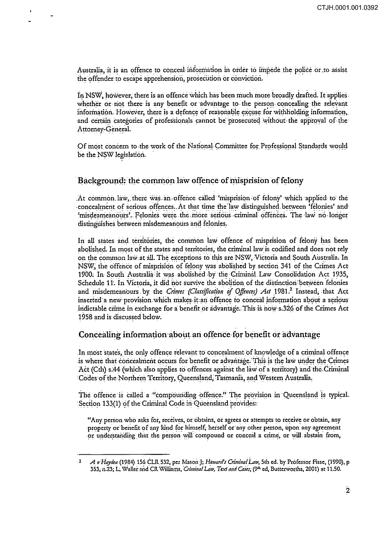Australia, it is an offence to conceal information in order to impede the police or to assist. the offender to escape apprehension, prosecution or conviction.

In NSW, however, there is an offence which has been much more broadly drafted. It applies whether or not there is any benefit or advantage to the person concealing the relevant information. However, there is a defence of reasonable excuse for withholding information, and certain categories of professionals cannot be prosecuted without the approval of the Attorney-General.

Of most concern to the work of the National Committee for Professional Standards would be the NSW legislation.

# Background: the common law offence of misprision of felony

At common law, there was an offence called 'misprision of felony' which applied to the concealment of serious offences. At that time the law distinguished between 'felonies' and 'misdeameanours'. Felonies were the more serious criminal offences. The law no longer distinguishes between misdemeanours and felonies.

In all states and territories, the common law offence of misprision of felony has been abolished. In most of the states and territories, the criminal law is codified and does not rely on the common law at all. The exceptions to this are NSW, Victoria and South Australia. In NSW, the offence of misprision of felony was abolished by section 341 of the Crimes Act 1900. In South Australia it was abolished by the Criminal Law Consolidation Act 1935, Schedule 11. In Victoria, it did not survive the abolition of the distinction between felonies and misdemeanours by the Crimes (Classification of Offences) Act 1981.<sup>2</sup> Instead, that Act inserted a new provision which makes it an offence to conceal information about a serious indictable crime in exchange for a benefit or advantage. This is now s.326 of the Crimes Act 1958 and is discussed below.

# Concealing information about an offence for benefit or advantage

In most states, the only offence relevant to concealment of knowledge of a criminal offence is where that concealment occurs for benefit or advantage. This is the law under the Crimes Act (Cth) s.44 (which also applies to offences against the law of a territory) and the Criminal Codes of the Northern Territory, Queensland, Tasmania, and Western Australia.

The offence is called a "compounding offence." The provision in Queensland is typical. Section 133(1) of the Criminal Code in Queensland provides:

"Any person who asks for, receives, or obtains, or agrees or attempts to receive or obtain, any property or benefit of any kind for himself, herself or any other person, upon any agreement or understanding that the person will compound or conceal a crime, or will abstain from,

A v Hayden (1984) 156 CLR 532, per Mason J; Howard's Criminal Law, 5th ed. by Professor Fisse, (1990), p 353, n.23; L. Waller and CR Williams, Criminal Law, Text and Cases, (9th ed, Butterworths, 2001) at 11.50.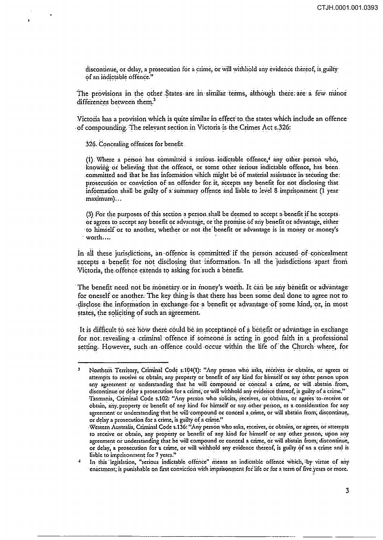discontinue, or delay, a prosecution for a crime, or will withhold any evidence thereof, is guilty of an indictable offence."

The provisions in the other States are in similar terms, although there are a few minor differences between them.<sup>3</sup>

Victoria has a provision which is quite similar in effect to the states which include an offence of compounding. The relevant section in Victoria is the Crimes Act s.326:

326. Concealing offences for benefit

(1) Where a person has committed a serious indictable offence,<sup>4</sup> any other person who, knowing or believing that the offence, or some other serious indictable offence, has been. committed and that he has information which might be of material assistance in securing the: prosecution or conviction of an offender for it, accepts any benefit for not disclosing that information shall be guilty of a summary offence and liable to level 8 imprisonment (1 year maximum)...

(3) For the purposes of this section a person shall be deemed to accept a benefit if he accepts. or agrees to accept any benefit or advantage, or the promise of any benefit or advantage, either to himself or to another, whether or not the benefit or advantage is in money or money's worth....

In all these jurisdictions, an offence is committed if the person accused of concealment accepts a benefit for not disclosing that information. In all the jurisdictions apart from Victoria, the offence extends to asking for such a benefit.

The benefit need not be monetary or in money's worth. It can be any benefit or advantage for oneself or another. The key thing is that there has been some deal done to agree not to disclose the information in exchange for a benefit or advantage of some kind, or, in most states, the soliciting of such an agreement.

It is difficult to see how there could be an acceptance of a benefit or advantage in exchange for not revealing a criminal offence if someone is acting in good faith in a professional setting. However, such an offence could occur within the life of the Church where, for

 $\overline{\mathbf{3}}$ Northern Territory, Criminal Code s.104(1): "Any person who asks, receives or obtains, or agrees or attempts to receive or obtain, any property or benefit of any kind for himself or any other person upon any agreement or understanding that he will compound or conceal a crime, or will abstain from, discontinue or delay a prosecution for a crime, or will withhold any evidence thereof, is guilty of a crime." Tasmania, Criminal Code s.102: "Any person who solicits, receives, or obtains, or agrees to receive or obtain, any property or benefit of any kind for himself or any other person, as a consideration for any agreement or understanding that he will compound or conceal a crime, or will abstain from, discontinue, or delay a prosecution for a crime, is guilty of a crime."

Western Australia, Criminal Code s.136: "Any person who asks, receives, or obtains, or agrees, or attempts to receive or obtain, any property or benefit of any kind for himself or any other person, upon any agreement or understanding that he will compound or conceal a crime, or will abstain from, discontinue, or delay, a prosecution for a crime, or will withhold any evidence thereof, is guilty of an a crime and is liable to imprisonment for 7 years."

In this legislation, "serious indictable offence" means an indictable offence which, by virtue of any 4 enactment, is punishable on first conviction with imprisonment for life or for a term of five years or more.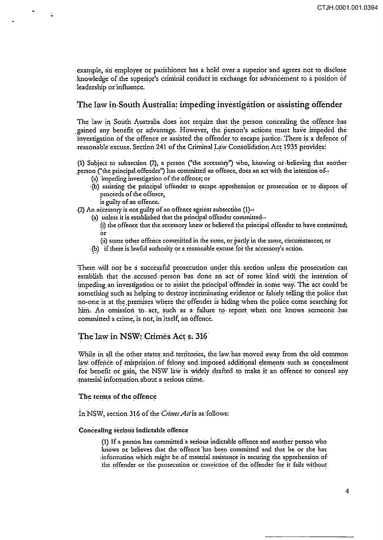example, an employee or parishioner has a hold over a superior and agrees not to disclose knowledge of the superior's criminal conduct in exchange for advancement to a position of leadership or influence.

# The law in South Australia: impeding investigation or assisting offender

The law in South Australia does not require that the person concealing the offence has gained any benefit or advantage. However, the person's actions must have impeded the investigation of the offence or assisted the offender to escape justice. There is a defence of reasonable excuse. Section 241 of the Criminal Law Consolidation Act 1935 provides:

(1) Subject to subsection (2), a person ("the accessory") who, knowing or believing that another person ("the principal offender") has committed an offence, does an act with the intention of-

- (a) impeding investigation of the offence; or
- (b) assisting the principal offender to escape apprehension or prosecution or to dispose of proceeds of the offence,
	- is guilty of an offence.

(2) An accessory is not guilty of an offence against subsection (1)--

- (a) unless it is established that the principal offender committed-(i) the offence that the accessory knew or believed the principal offender to have committed; ör
	- (ii) some other offence committed in the same, or partly in the same, circumstances; or
- (b) if there is lawful authority or a reasonable excuse for the accessory's action.

There will not be a successful prosecution under this section unless the prosecution can establish that the accused person has done an act of some kind with the intention of impeding an investigation or to assist the principal offender in some way. The act could be something such as helping to destroy incriminating evidence or falsely telling the police that no-one is at the premises where the offender is hiding when the police come searching for him. An omission to act, such as a failure to report when one knows someone has committed a crime, is not, in itself, an offence.

### The law in NSW: Crimes Act s. 316

While in all the other states and territories, the law has moved away from the old common law offence of misprision of felony and imposed additional elements such as concealment for benefit or gain, the NSW law is widely drafted to make it an offence to conceal any material information about a serious crime.

#### The terms of the offence

In NSW, section 316 of the Crimes Act is as follows:

#### Concealing serious indictable offence

(1) If a person has committed a serious indictable offence and another person who knows or believes that the offence has been committed and that he or she has information which might be of material assistance in securing the apprehension of the offender or the prosecution or conviction of the offender for it fails without.

 $\overline{4}$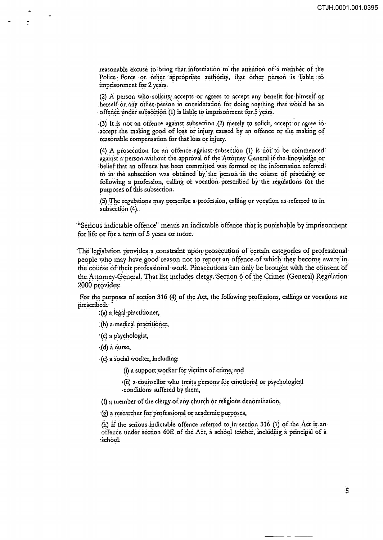reasonable excuse to bring that information to the attention of a member of the Police Force or other appropriate authority, that other person is liable to imprisonment for 2 years.

(2) A person who solicits, accepts or agrees to accept any benefit for himself or herself or any other person in consideration for doing anything that would be an offence under subsection (1) is liable to imprisonment for 5 years.

(3) It is not an offence against subsection (2) merely to solicit, accept or agree to accept the making good of loss or injury caused by an offence or the making of reasonable compensation for that loss or injury.

(4) A prosecution for an offence against subsection (1) is not to be commenced: against a person without the approval of the Attorney General if the knowledge or belief that an offence has been committed was formed or the information referred to in the subsection was obtained by the person in the course of practising or following a profession, calling or vocation prescribed by the regulations for the purposes of this subsection.

(5) The regulations may prescribe a profession, calling or vocation as referred to in subsection (4).

"Serious indictable offence" means an indictable offence that is punishable by imprisonment for life or for a term of 5 years or more.

The legislation provides a constraint upon prosecution of certain categories of professional people who may have good reason not to report an offence of which they become aware in the course of their professional work. Prosecutions can only be brought with the consent of the Attorney-General. That list includes clergy. Section 6 of the Crimes (General) Regulation 2000 provides:

For the purposes of section 316 (4) of the Act, the following professions, callings or vocations are prescribed:

(a) a legal practitioner,

(b) a medical practitioner,

(c) a psychologist,

(d) a nurse,

(e) a social worker, including:

(i) a support worker for victims of crime, and

(ii) a counsellor who treats persons for emotional or psychological conditions suffered by them,

(f) a member of the clergy of any church or religious denomination,

(g) a researcher for professional or academic purposes,

(h) if the serious indictable offence referred to in section 316 (1) of the Act is an offence under section 60E of the Act, a school teacher, including a principal of a school.

Ś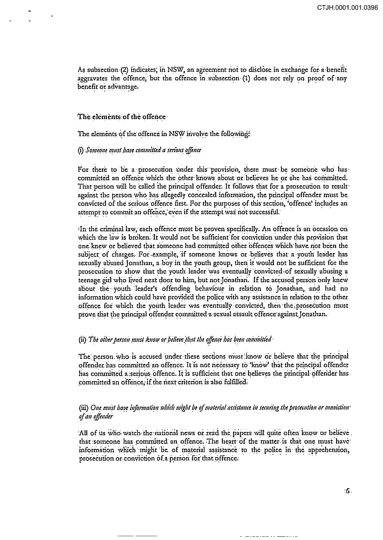As subsection (2) indicates, in NSW, an agreement not to disclose in exchange for a benefit aggravates the offence, but the offence in subsection (1) does not rely on proof of any benefit or advantage.

#### The elements of the offence

The elements of the offence in NSW involve the following:

(i) Someone must have committed a serious offence

For there to be a prosecution under this provision, there must be someone who has committed an offence which the other knows about or believes he or she has committed. That person will be called the principal offender. It follows that for a prosecution to result against the person who has allegedly concealed information, the principal offender must be convicted of the serious offence first. For the purposes of this section, 'offence' includes an attempt to commit an offence, even if the attempt was not successful.

In the criminal law, each offence must be proven specifically. An offence is an occasion on which the law is broken. It would not be sufficient for conviction under this provision that one knew or believed that someone had committed other offences which have not been the subject of charges. For example, if someone knows or believes that a youth leader has sexually abused Jonathan, a boy in the youth group, then it would not be sufficient for the prosecution to show that the youth leader was eventually convicted of sexually abusing a teenage girl who lived next door to him, but not Jonathan. If the accused person only knew about the youth leader's offending behaviour in relation to Jonathan, and had no information which could have provided the police with any assistance in relation to the other offence for which the youth leader was eventually convicted, then the prosecution must prove that the principal offender committed a sexual assault offence against Jonathan.

# (ii) The other person must know or believe that the offence has been committed

The person who is accused under these sections must know or believe that the principal offender has committed an offence. It is not necessary to 'know' that the principal offender has committed a serious offence. It is sufficient that one believes the principal offender has committed an offence, if the next criterion is also fulfilled.

### (iii) One must have information which might be of material assistance in securing the prosecution or conviction of an offender

All of us who watch the national news or read the papers will quite often know or believe. that someone has committed an offence. The heart of the matter is that one must have information which might be of material assistance to the police in the apprehension, prosecution or conviction of a person for that offence.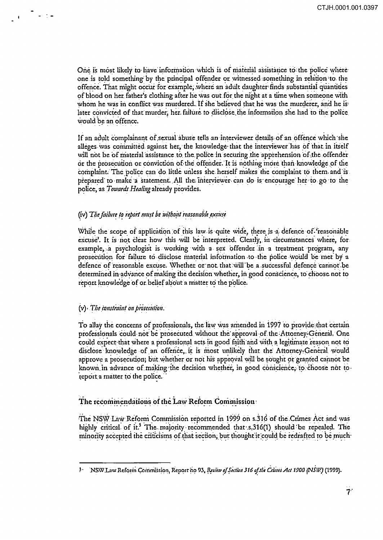One is most likely to have information which is of material assistance to the police where one is told something by the principal offender or witnessed something in relation to the offence. That might occur for example, where an adult daughter finds substantial quantities of blood on her father's clothing after he was out for the night at a time when someone with whom he was in conflict was murdered. If she believed that he was the murderer, and he is later convicted of that murder, her failure to disclose the information she had to the police would be an offence.

If an adult complainant of sexual abuse tells an interviewer details of an offence which she alleges was committed against her, the knowledge that the interviewer has of that in itself will not be of material assistance to the police in securing the apprehension of the offender or the prosecution or conviction of the offender. It is nothing more than knowledge of the complaint. The police can do little unless she herself makes the complaint to them and is prepared to make a statement. All the interviewer can do is encourage her to go to the police, as Towards Healing already provides.

### (iv) The failure to report must be without reasonable excuse

While the scope of application of this law is quite wide, there is a defence of freasonable excuse'. It is not clear how this will be interpreted. Clearly, in circumstances where, for example, a psychologist is working with a sex offender in a treatment program, any prosecution for failure to disclose material information to the police would be met by a defence of reasonable excuse. Whether or not that will be a successful defence cannot be determined in advance of making the decision whether, in good conscience, to choose not to report knowledge of or belief about a matter to the police.

### (v) The constraint on prosecution.

مار با

To allay the concerns of professionals, the law was amended in 1997 to provide that certain professionals could not be prosecuted without the approval of the Attorney-General. One could expect that where a professional acts in good faith and with a legitimate reason not to disclose knowledge of an offence, it is most unlikely that the Attorney-General would approve a prosecution; but whether or not his approval will be sought or granted cannot be known in advance of making the decision whether, in good conscience, to choose not to report a matter to the police.

# The recommendations of the Law Reform Commission

The NSW Law Reform Commission reported in 1999 on s.316 of the Crimes Act and was highly critical of it.<sup>5</sup> The majority recommended that s.316(1) should be repealed. The minority accepted the criticisms of that section, but thought it could be redrafted to be much

ş. NSW Law Reform Commission, Report no 93, Review of Section 316 of the Crimes Act. 1900 (NSII!) (1999).